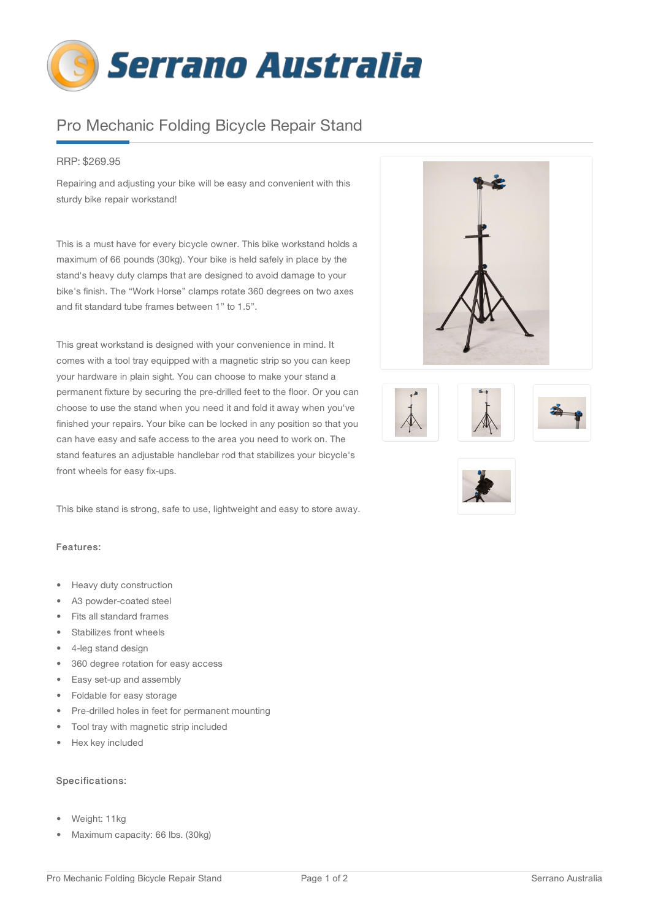

## Pro Mechanic Folding Bicycle Repair Stand

## RRP: \$269.95

Repairing and adjusting your bike will be easy and convenient with this sturdy bike repair workstand!

This is a must have for every bicycle owner. This bike workstand holds a maximum of 66 pounds (30kg). Your bike is held safely in place by the stand's heavy duty clamps that are designed to avoid damage to your bike's finish. The "Work Horse" clamps rotate 360 degrees on two axes and fit standard tube frames between 1" to 1.5".

This great workstand is designed with your convenience in mind. It comes with a tool tray equipped with a magnetic strip so you can keep your hardware in plain sight. You can choose to make your stand a permanent fixture by securing the pre-drilled feet to the floor. Or you can choose to use the stand when you need it and fold it away when you've finished your repairs. Your bike can be locked in any position so that you can have easy and safe access to the area you need to work on. The stand features an adjustable handlebar rod that stabilizes your bicycle's front wheels for easy fix-ups.

This bike stand is strong, safe to use, lightweight and easy to store away.

## Features:

- Heavy duty construction
- A3 powder-coated steel
- Fits all standard frames
- Stabilizes front wheels
- 4-leg stand design
- 360 degree rotation for easy access
- Easy set-up and assembly
- Foldable for easy storage
- Pre-drilled holes in feet for permanent mounting
- Tool tray with magnetic strip included
- Hex key included

## Specifications:

- Weight: 11kg
- Maximum capacity: 66 lbs. (30kg)